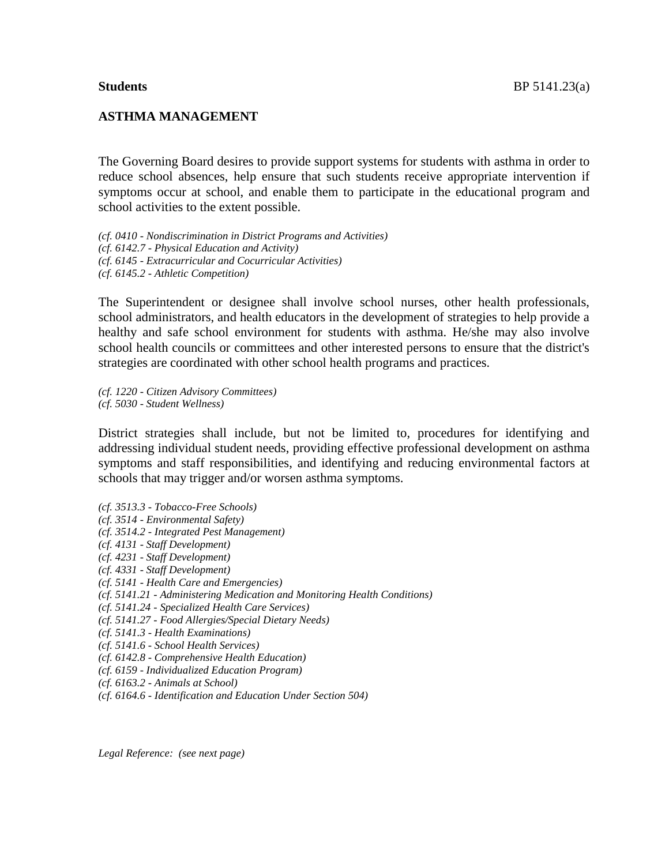## **ASTHMA MANAGEMENT**

The Governing Board desires to provide support systems for students with asthma in order to reduce school absences, help ensure that such students receive appropriate intervention if symptoms occur at school, and enable them to participate in the educational program and school activities to the extent possible.

*(cf. 0410 - Nondiscrimination in District Programs and Activities) (cf. 6142.7 - Physical Education and Activity) (cf. 6145 - Extracurricular and Cocurricular Activities) (cf. 6145.2 - Athletic Competition)*

The Superintendent or designee shall involve school nurses, other health professionals, school administrators, and health educators in the development of strategies to help provide a healthy and safe school environment for students with asthma. He/she may also involve school health councils or committees and other interested persons to ensure that the district's strategies are coordinated with other school health programs and practices.

*(cf. 1220 - Citizen Advisory Committees) (cf. 5030 - Student Wellness)*

District strategies shall include, but not be limited to, procedures for identifying and addressing individual student needs, providing effective professional development on asthma symptoms and staff responsibilities, and identifying and reducing environmental factors at schools that may trigger and/or worsen asthma symptoms.

*(cf. 3513.3 - Tobacco-Free Schools) (cf. 3514 - Environmental Safety) (cf. 3514.2 - Integrated Pest Management) (cf. 4131 - Staff Development) (cf. 4231 - Staff Development) (cf. 4331 - Staff Development) (cf. 5141 - Health Care and Emergencies) (cf. 5141.21 - Administering Medication and Monitoring Health Conditions) (cf. 5141.24 - Specialized Health Care Services) (cf. 5141.27 - Food Allergies/Special Dietary Needs) (cf. 5141.3 - Health Examinations) (cf. 5141.6 - School Health Services) (cf. 6142.8 - Comprehensive Health Education) (cf. 6159 - Individualized Education Program) (cf. 6163.2 - Animals at School) (cf. 6164.6 - Identification and Education Under Section 504)*

*Legal Reference: (see next page)*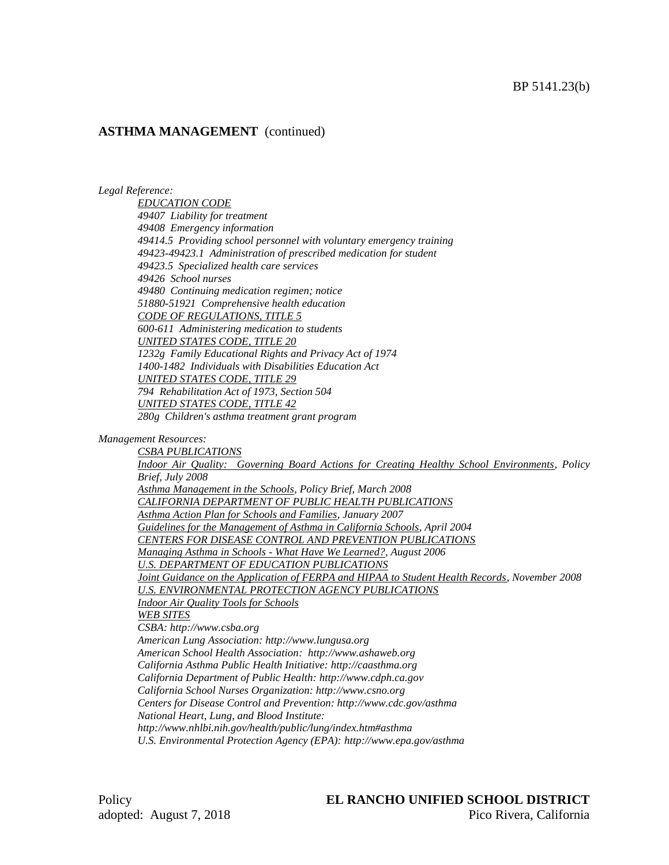## **ASTHMA MANAGEMENT** (continued)

*Legal Reference:*

*EDUCATION CODE 49407 Liability for treatment 49408 Emergency information 49414.5 Providing school personnel with voluntary emergency training 49423-49423.1 Administration of prescribed medication for student 49423.5 Specialized health care services 49426 School nurses 49480 Continuing medication regimen; notice 51880-51921 Comprehensive health education CODE OF REGULATIONS, TITLE 5 600-611 Administering medication to students UNITED STATES CODE, TITLE 20 1232g Family Educational Rights and Privacy Act of 1974 1400-1482 Individuals with Disabilities Education Act UNITED STATES CODE, TITLE 29 794 Rehabilitation Act of 1973, Section 504 UNITED STATES CODE, TITLE 42 280g Children's asthma treatment grant program*

#### *Management Resources:*

*CSBA PUBLICATIONS Indoor Air Quality: Governing Board Actions for Creating Healthy School Environments, Policy Brief, July 2008 Asthma Management in the Schools, Policy Brief, March 2008 CALIFORNIA DEPARTMENT OF PUBLIC HEALTH PUBLICATIONS Asthma Action Plan for Schools and Families, January 2007 Guidelines for the Management of Asthma in California Schools, April 2004 CENTERS FOR DISEASE CONTROL AND PREVENTION PUBLICATIONS Managing Asthma in Schools - What Have We Learned?, August 2006 U.S. DEPARTMENT OF EDUCATION PUBLICATIONS Joint Guidance on the Application of FERPA and HIPAA to Student Health Records, November 2008 U.S. ENVIRONMENTAL PROTECTION AGENCY PUBLICATIONS Indoor Air Quality Tools for Schools WEB SITES CSBA: http://www.csba.org American Lung Association: http://www.lungusa.org American School Health Association: http://www.ashaweb.org California Asthma Public Health Initiative: http://caasthma.org California Department of Public Health: http://www.cdph.ca.gov California School Nurses Organization: http://www.csno.org Centers for Disease Control and Prevention: http://www.cdc.gov/asthma National Heart, Lung, and Blood Institute: http://www.nhlbi.nih.gov/health/public/lung/index.htm#asthma U.S. Environmental Protection Agency (EPA): http://www.epa.gov/asthma*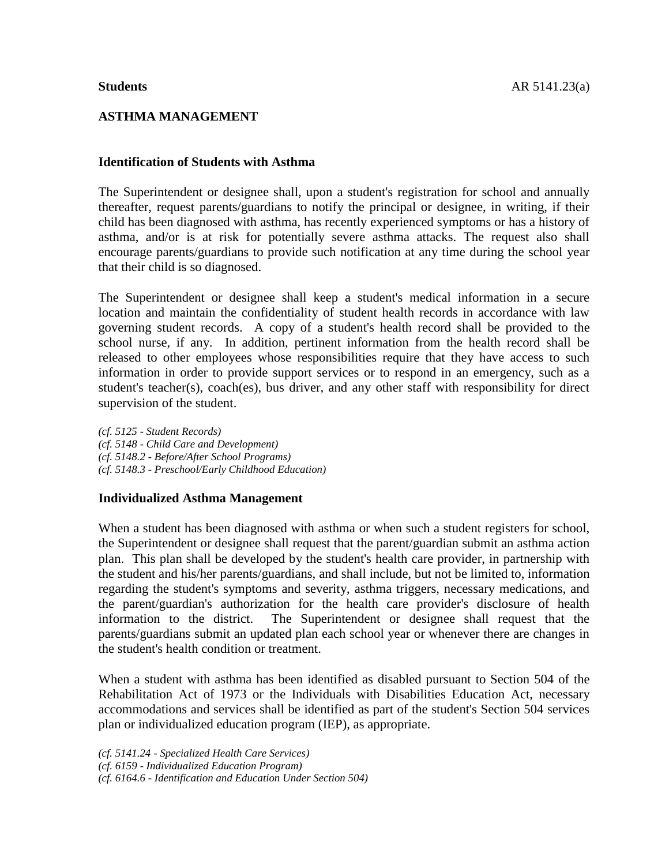# **ASTHMA MANAGEMENT**

# **Identification of Students with Asthma**

The Superintendent or designee shall, upon a student's registration for school and annually thereafter, request parents/guardians to notify the principal or designee, in writing, if their child has been diagnosed with asthma, has recently experienced symptoms or has a history of asthma, and/or is at risk for potentially severe asthma attacks. The request also shall encourage parents/guardians to provide such notification at any time during the school year that their child is so diagnosed.

The Superintendent or designee shall keep a student's medical information in a secure location and maintain the confidentiality of student health records in accordance with law governing student records. A copy of a student's health record shall be provided to the school nurse, if any. In addition, pertinent information from the health record shall be released to other employees whose responsibilities require that they have access to such information in order to provide support services or to respond in an emergency, such as a student's teacher(s), coach(es), bus driver, and any other staff with responsibility for direct supervision of the student.

*(cf. 5125 - Student Records) (cf. 5148 - Child Care and Development) (cf. 5148.2 - Before/After School Programs) (cf. 5148.3 - Preschool/Early Childhood Education)*

# **Individualized Asthma Management**

When a student has been diagnosed with asthma or when such a student registers for school, the Superintendent or designee shall request that the parent/guardian submit an asthma action plan. This plan shall be developed by the student's health care provider, in partnership with the student and his/her parents/guardians, and shall include, but not be limited to, information regarding the student's symptoms and severity, asthma triggers, necessary medications, and the parent/guardian's authorization for the health care provider's disclosure of health information to the district. The Superintendent or designee shall request that the parents/guardians submit an updated plan each school year or whenever there are changes in the student's health condition or treatment.

When a student with asthma has been identified as disabled pursuant to Section 504 of the Rehabilitation Act of 1973 or the Individuals with Disabilities Education Act, necessary accommodations and services shall be identified as part of the student's Section 504 services plan or individualized education program (IEP), as appropriate.

*(cf. 5141.24 - Specialized Health Care Services)*

*(cf. 6159 - Individualized Education Program)*

*(cf. 6164.6 - Identification and Education Under Section 504)*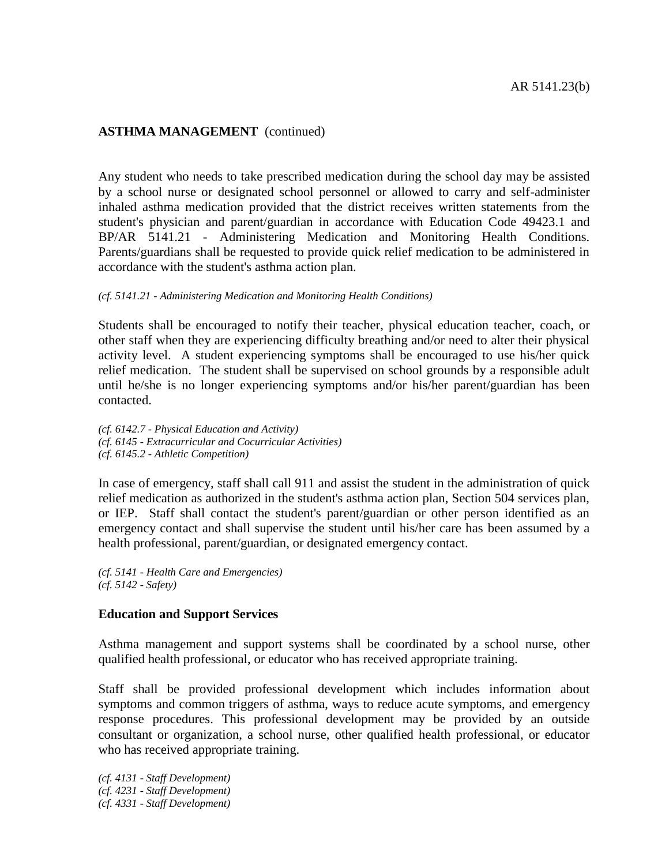# **ASTHMA MANAGEMENT** (continued)

Any student who needs to take prescribed medication during the school day may be assisted by a school nurse or designated school personnel or allowed to carry and self-administer inhaled asthma medication provided that the district receives written statements from the student's physician and parent/guardian in accordance with Education Code 49423.1 and BP/AR 5141.21 - Administering Medication and Monitoring Health Conditions. Parents/guardians shall be requested to provide quick relief medication to be administered in accordance with the student's asthma action plan.

#### *(cf. 5141.21 - Administering Medication and Monitoring Health Conditions)*

Students shall be encouraged to notify their teacher, physical education teacher, coach, or other staff when they are experiencing difficulty breathing and/or need to alter their physical activity level. A student experiencing symptoms shall be encouraged to use his/her quick relief medication. The student shall be supervised on school grounds by a responsible adult until he/she is no longer experiencing symptoms and/or his/her parent/guardian has been contacted.

*(cf. 6142.7 - Physical Education and Activity) (cf. 6145 - Extracurricular and Cocurricular Activities) (cf. 6145.2 - Athletic Competition)*

In case of emergency, staff shall call 911 and assist the student in the administration of quick relief medication as authorized in the student's asthma action plan, Section 504 services plan, or IEP. Staff shall contact the student's parent/guardian or other person identified as an emergency contact and shall supervise the student until his/her care has been assumed by a health professional, parent/guardian, or designated emergency contact.

*(cf. 5141 - Health Care and Emergencies) (cf. 5142 - Safety)*

#### **Education and Support Services**

Asthma management and support systems shall be coordinated by a school nurse, other qualified health professional, or educator who has received appropriate training.

Staff shall be provided professional development which includes information about symptoms and common triggers of asthma, ways to reduce acute symptoms, and emergency response procedures. This professional development may be provided by an outside consultant or organization, a school nurse, other qualified health professional, or educator who has received appropriate training.

*(cf. 4131 - Staff Development) (cf. 4231 - Staff Development) (cf. 4331 - Staff Development)*